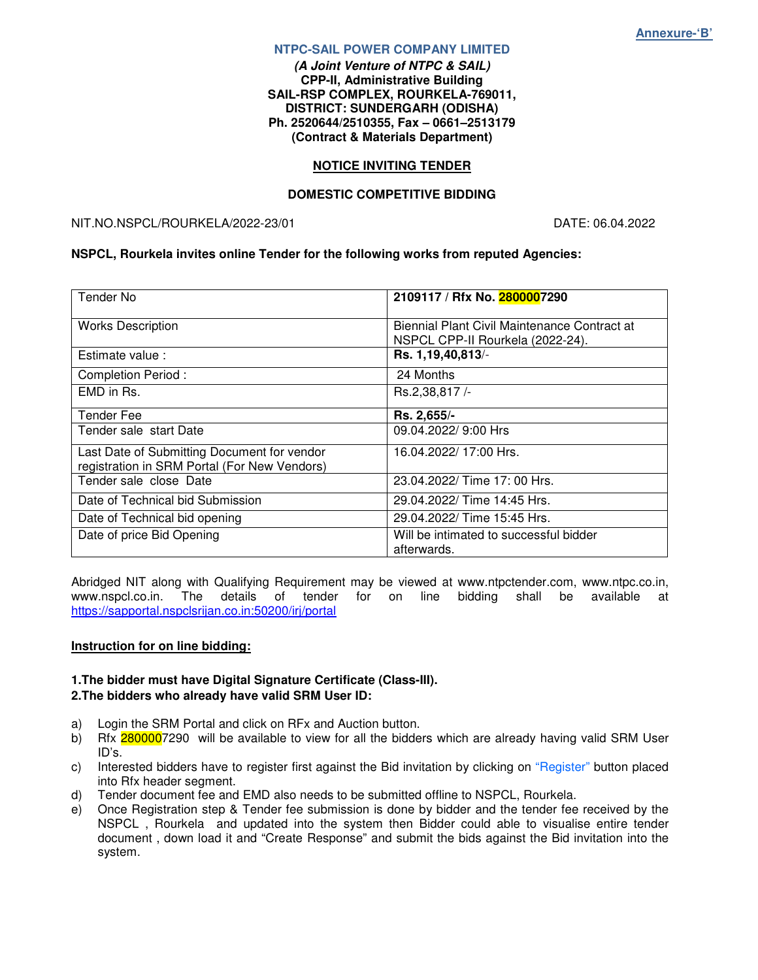#### **NTPC-SAIL POWER COMPANY LIMITED**

**(A Joint Venture of NTPC & SAIL) CPP-II, Administrative Building SAIL-RSP COMPLEX, ROURKELA-769011, DISTRICT: SUNDERGARH (ODISHA) Ph. 2520644/2510355, Fax – 0661–2513179 (Contract & Materials Department)** 

#### **NOTICE INVITING TENDER**

#### **DOMESTIC COMPETITIVE BIDDING**

#### NIT.NO.NSPCL/ROURKELA/2022-23/01 DATE: 06.04.2022

#### **NSPCL, Rourkela invites online Tender for the following works from reputed Agencies:**

| Tender No                                                                                   | 2109117 / Rfx No. 2800007290                                                     |
|---------------------------------------------------------------------------------------------|----------------------------------------------------------------------------------|
| <b>Works Description</b>                                                                    | Biennial Plant Civil Maintenance Contract at<br>NSPCL CPP-II Rourkela (2022-24). |
| Estimate value:                                                                             | Rs. 1,19,40,813/-                                                                |
| <b>Completion Period:</b>                                                                   | 24 Months                                                                        |
| EMD in Rs.                                                                                  | Rs.2,38,817/-                                                                    |
| <b>Tender Fee</b>                                                                           | Rs. 2,655/-                                                                      |
| Tender sale start Date                                                                      | 09.04.2022/ 9:00 Hrs                                                             |
| Last Date of Submitting Document for vendor<br>registration in SRM Portal (For New Vendors) | 16.04.2022/ 17:00 Hrs.                                                           |
| Tender sale close Date                                                                      | 23.04.2022/ Time 17: 00 Hrs.                                                     |
| Date of Technical bid Submission                                                            | 29.04.2022/ Time 14:45 Hrs.                                                      |
| 29.04.2022/ Time 15:45 Hrs.<br>Date of Technical bid opening                                |                                                                                  |
| Date of price Bid Opening                                                                   | Will be intimated to successful bidder<br>afterwards.                            |

Abridged NIT along with Qualifying Requirement may be viewed at www.ntpctender.com, www.ntpc.co.in,<br>www.nspcl.co.in. The details of tender for on line bidding shall be available at www.nspcl.co.in. The details of tender for on line bidding shall be available at https://sapportal.nspclsrijan.co.in:50200/irj/portal

#### **Instruction for on line bidding:**

#### **1.The bidder must have Digital Signature Certificate (Class-III). 2.The bidders who already have valid SRM User ID:**

- a) Login the SRM Portal and click on RFx and Auction button.
- b) Rfx 2800007290 will be available to view for all the bidders which are already having valid SRM User ID's.
- c) Interested bidders have to register first against the Bid invitation by clicking on "Register" button placed into Rfx header segment.
- d) Tender document fee and EMD also needs to be submitted offline to NSPCL, Rourkela.<br>
e) Once Registration step & Tender fee submission is done by bidder and the tender fee
- Once Registration step & Tender fee submission is done by bidder and the tender fee received by the NSPCL , Rourkela and updated into the system then Bidder could able to visualise entire tender document , down load it and "Create Response" and submit the bids against the Bid invitation into the system.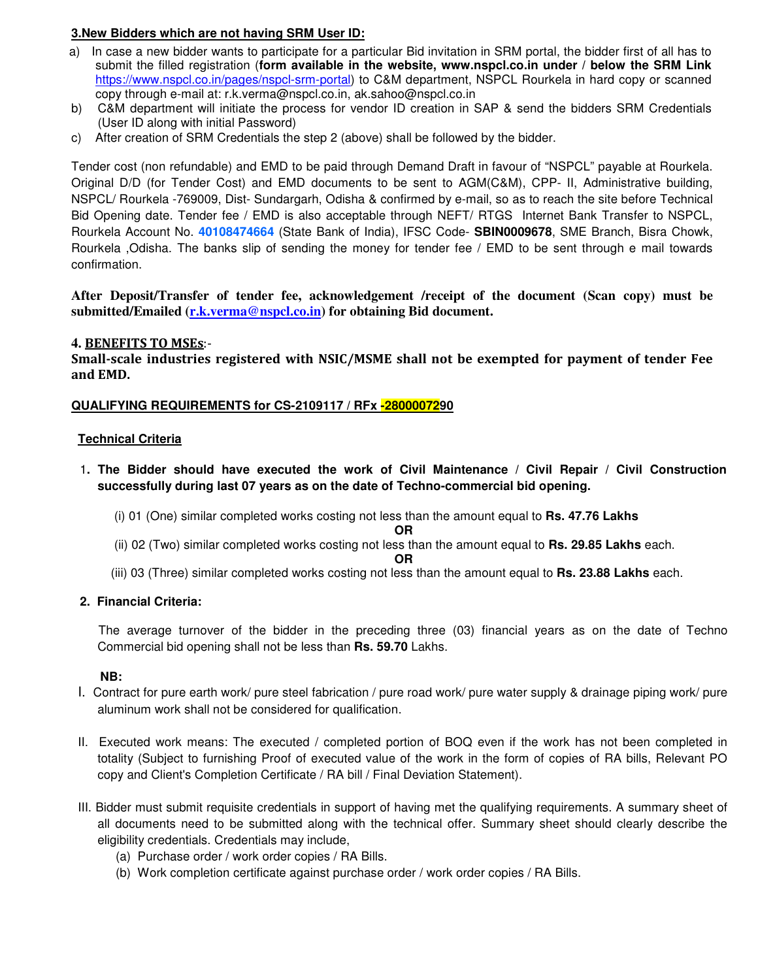## **3.New Bidders which are not having SRM User ID:**

- a) In case a new bidder wants to participate for a particular Bid invitation in SRM portal, the bidder first of all has to submit the filled registration (**form available in the website, www.nspcl.co.in under / below the SRM Link**  https://www.nspcl.co.in/pages/nspcl-srm-portal) to C&M department, NSPCL Rourkela in hard copy or scanned copy through e-mail at: r.k.verma@nspcl.co.in, ak.sahoo@nspcl.co.in
- b) C&M department will initiate the process for vendor ID creation in SAP & send the bidders SRM Credentials (User ID along with initial Password)
- c) After creation of SRM Credentials the step 2 (above) shall be followed by the bidder.

Tender cost (non refundable) and EMD to be paid through Demand Draft in favour of "NSPCL" payable at Rourkela. Original D/D (for Tender Cost) and EMD documents to be sent to AGM(C&M), CPP- II, Administrative building, NSPCL/ Rourkela -769009, Dist- Sundargarh, Odisha & confirmed by e-mail, so as to reach the site before Technical Bid Opening date. Tender fee / EMD is also acceptable through NEFT/ RTGS Internet Bank Transfer to NSPCL, Rourkela Account No. **40108474664** (State Bank of India), IFSC Code- **SBIN0009678**, SME Branch, Bisra Chowk, Rourkela ,Odisha. The banks slip of sending the money for tender fee / EMD to be sent through e mail towards confirmation.

**After Deposit/Transfer of tender fee, acknowledgement /receipt of the document (Scan copy) must be**  submitted/Emailed (r.k.verma@nspcl.co.in) for obtaining Bid document.

## **4.** BENEFITS TO MSEs:-

Small-scale industries registered with NSIC/MSME shall not be exempted for payment of tender Fee and EMD.

## **QUALIFYING REQUIREMENTS for CS-2109117 / RFx -2800007290**

## **Technical Criteria**

- 1**. The Bidder should have executed the work of Civil Maintenance / Civil Repair / Civil Construction successfully during last 07 years as on the date of Techno-commercial bid opening.** 
	- (i) 01 (One) similar completed works costing not less than the amount equal to **Rs. 47.76 Lakhs**

**OR** 

(ii) 02 (Two) similar completed works costing not less than the amount equal to **Rs. 29.85 Lakhs** each.

**OR** 

(iii) 03 (Three) similar completed works costing not less than the amount equal to **Rs. 23.88 Lakhs** each.

## **2. Financial Criteria:**

 The average turnover of the bidder in the preceding three (03) financial years as on the date of Techno Commercial bid opening shall not be less than **Rs. 59.70** Lakhs.

## **NB:**

- I. Contract for pure earth work/ pure steel fabrication / pure road work/ pure water supply & drainage piping work/ pure aluminum work shall not be considered for qualification.
- II. Executed work means: The executed / completed portion of BOQ even if the work has not been completed in totality (Subject to furnishing Proof of executed value of the work in the form of copies of RA bills, Relevant PO copy and Client's Completion Certificate / RA bill / Final Deviation Statement).
- III. Bidder must submit requisite credentials in support of having met the qualifying requirements. A summary sheet of all documents need to be submitted along with the technical offer. Summary sheet should clearly describe the eligibility credentials. Credentials may include,
	- (a) Purchase order / work order copies / RA Bills.
	- (b) Work completion certificate against purchase order / work order copies / RA Bills.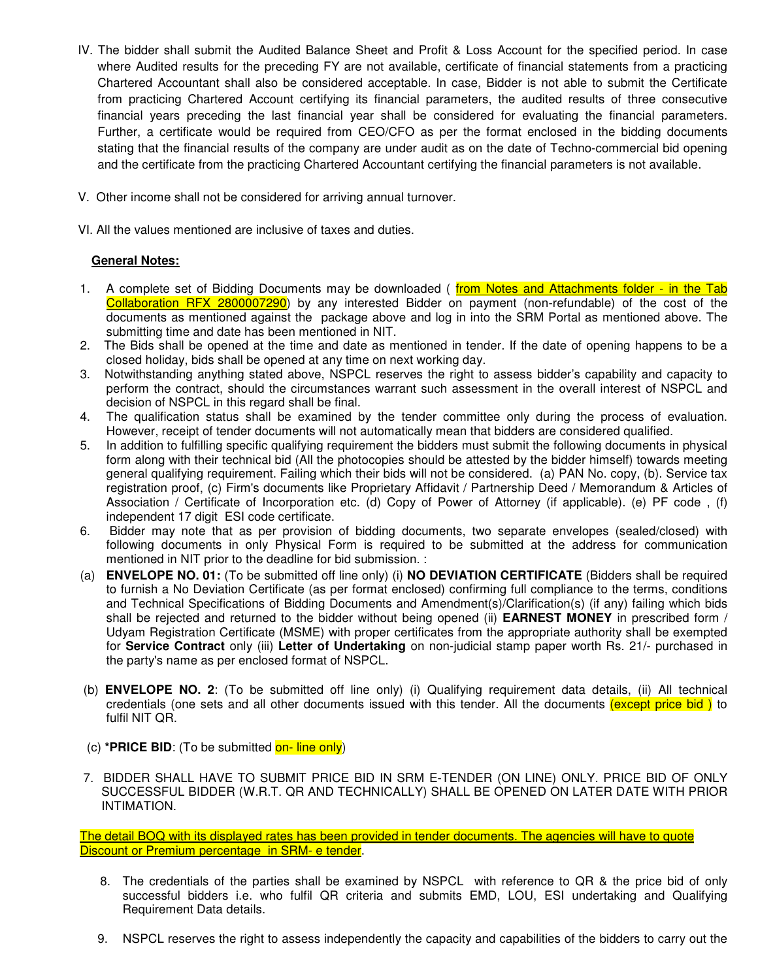- IV. The bidder shall submit the Audited Balance Sheet and Profit & Loss Account for the specified period. In case where Audited results for the preceding FY are not available, certificate of financial statements from a practicing Chartered Accountant shall also be considered acceptable. In case, Bidder is not able to submit the Certificate from practicing Chartered Account certifying its financial parameters, the audited results of three consecutive financial years preceding the last financial year shall be considered for evaluating the financial parameters. Further, a certificate would be required from CEO/CFO as per the format enclosed in the bidding documents stating that the financial results of the company are under audit as on the date of Techno-commercial bid opening and the certificate from the practicing Chartered Accountant certifying the financial parameters is not available.
- V. Other income shall not be considered for arriving annual turnover.

VI. All the values mentioned are inclusive of taxes and duties.

## **General Notes:**

- 1. A complete set of Bidding Documents may be downloaded (from Notes and Attachments folder in the Tab Collaboration RFX 2800007290) by any interested Bidder on payment (non-refundable) of the cost of the documents as mentioned against the package above and log in into the SRM Portal as mentioned above. The submitting time and date has been mentioned in NIT.
- 2. The Bids shall be opened at the time and date as mentioned in tender. If the date of opening happens to be a closed holiday, bids shall be opened at any time on next working day.
- 3. Notwithstanding anything stated above, NSPCL reserves the right to assess bidder's capability and capacity to perform the contract, should the circumstances warrant such assessment in the overall interest of NSPCL and decision of NSPCL in this regard shall be final.
- 4. The qualification status shall be examined by the tender committee only during the process of evaluation. However, receipt of tender documents will not automatically mean that bidders are considered qualified.
- 5. In addition to fulfilling specific qualifying requirement the bidders must submit the following documents in physical form along with their technical bid (All the photocopies should be attested by the bidder himself) towards meeting general qualifying requirement. Failing which their bids will not be considered. (a) PAN No. copy, (b). Service tax registration proof, (c) Firm's documents like Proprietary Affidavit / Partnership Deed / Memorandum & Articles of Association / Certificate of Incorporation etc. (d) Copy of Power of Attorney (if applicable). (e) PF code , (f) independent 17 digit ESI code certificate.
- 6. Bidder may note that as per provision of bidding documents, two separate envelopes (sealed/closed) with following documents in only Physical Form is required to be submitted at the address for communication mentioned in NIT prior to the deadline for bid submission. :
- (a) **ENVELOPE NO. 01:** (To be submitted off line only) (i) **NO DEVIATION CERTIFICATE** (Bidders shall be required to furnish a No Deviation Certificate (as per format enclosed) confirming full compliance to the terms, conditions and Technical Specifications of Bidding Documents and Amendment(s)/Clarification(s) (if any) failing which bids shall be rejected and returned to the bidder without being opened (ii) **EARNEST MONEY** in prescribed form / Udyam Registration Certificate (MSME) with proper certificates from the appropriate authority shall be exempted for **Service Contract** only (iii) **Letter of Undertaking** on non-judicial stamp paper worth Rs. 21/- purchased in the party's name as per enclosed format of NSPCL.
- (b) **ENVELOPE NO. 2**: (To be submitted off line only) (i) Qualifying requirement data details, (ii) All technical credentials (one sets and all other documents issued with this tender. All the documents (except price bid ) to fulfil NIT QR.
- (c) **\*PRICE BID**: (To be submitted on- line only)
- 7. BIDDER SHALL HAVE TO SUBMIT PRICE BID IN SRM E-TENDER (ON LINE) ONLY. PRICE BID OF ONLY SUCCESSFUL BIDDER (W.R.T. QR AND TECHNICALLY) SHALL BE OPENED ON LATER DATE WITH PRIOR INTIMATION.

The detail BOQ with its displayed rates has been provided in tender documents. The agencies will have to quote Discount or Premium percentage in SRM- e tender.

- 8. The credentials of the parties shall be examined by NSPCL with reference to QR & the price bid of only successful bidders i.e. who fulfil QR criteria and submits EMD, LOU, ESI undertaking and Qualifying Requirement Data details.
- 9. NSPCL reserves the right to assess independently the capacity and capabilities of the bidders to carry out the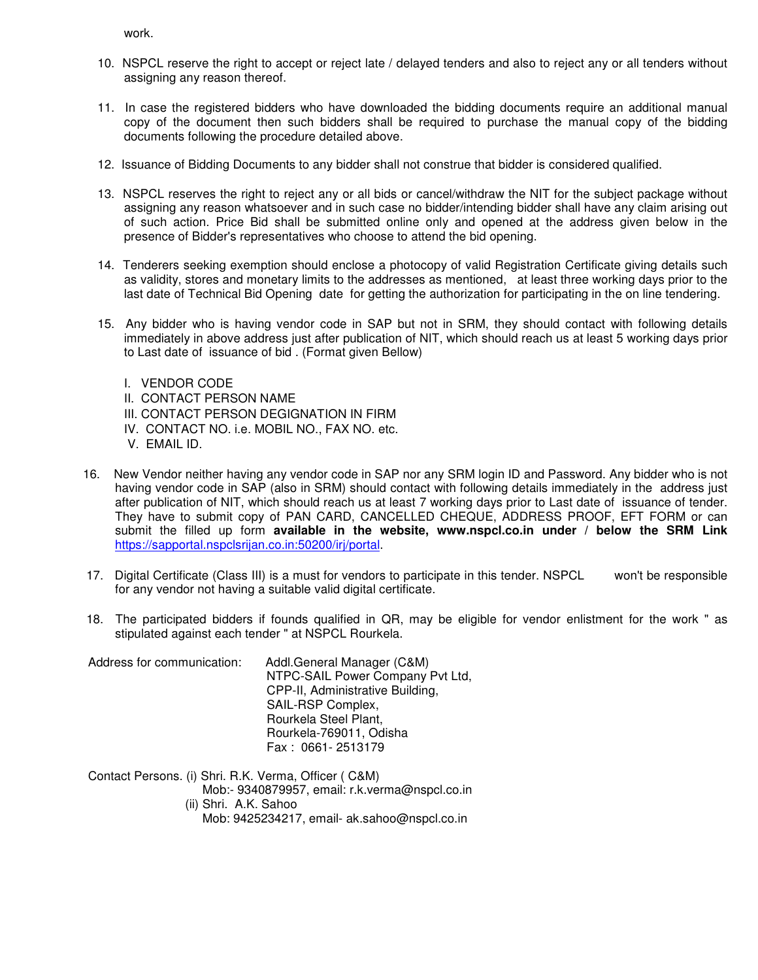work.

- 10. NSPCL reserve the right to accept or reject late / delayed tenders and also to reject any or all tenders without assigning any reason thereof.
- 11. In case the registered bidders who have downloaded the bidding documents require an additional manual copy of the document then such bidders shall be required to purchase the manual copy of the bidding documents following the procedure detailed above.
- 12. Issuance of Bidding Documents to any bidder shall not construe that bidder is considered qualified.
- 13. NSPCL reserves the right to reject any or all bids or cancel/withdraw the NIT for the subject package without assigning any reason whatsoever and in such case no bidder/intending bidder shall have any claim arising out of such action. Price Bid shall be submitted online only and opened at the address given below in the presence of Bidder's representatives who choose to attend the bid opening.
- 14. Tenderers seeking exemption should enclose a photocopy of valid Registration Certificate giving details such as validity, stores and monetary limits to the addresses as mentioned, at least three working days prior to the last date of Technical Bid Opening date for getting the authorization for participating in the on line tendering.
- 15. Any bidder who is having vendor code in SAP but not in SRM, they should contact with following details immediately in above address just after publication of NIT, which should reach us at least 5 working days prior to Last date of issuance of bid . (Format given Bellow)
	- I. VENDOR CODE
	- II. CONTACT PERSON NAME
	- III. CONTACT PERSON DEGIGNATION IN FIRM
	- IV. CONTACT NO. i.e. MOBIL NO., FAX NO. etc.
	- V. EMAIL ID.
- 16. New Vendor neither having any vendor code in SAP nor any SRM login ID and Password. Any bidder who is not having vendor code in SAP (also in SRM) should contact with following details immediately in the address just after publication of NIT, which should reach us at least 7 working days prior to Last date of issuance of tender. They have to submit copy of PAN CARD, CANCELLED CHEQUE, ADDRESS PROOF, EFT FORM or can submit the filled up form **available in the website, www.nspcl.co.in under / below the SRM Link**  https://sapportal.nspclsrijan.co.in:50200/irj/portal.
- 17. Digital Certificate (Class III) is a must for vendors to participate in this tender. NSPCL won't be responsible for any vendor not having a suitable valid digital certificate.
- 18. The participated bidders if founds qualified in QR, may be eligible for vendor enlistment for the work " as stipulated against each tender " at NSPCL Rourkela.

| Address for communication: | Addl.General Manager (C&M)       |  |
|----------------------------|----------------------------------|--|
|                            | NTPC-SAIL Power Company Pvt Ltd, |  |
|                            | CPP-II, Administrative Building, |  |
|                            | SAIL-RSP Complex,                |  |
|                            | Rourkela Steel Plant,            |  |
|                            | Rourkela-769011, Odisha          |  |
|                            | Fax: 0661-2513179                |  |

Contact Persons. (i) Shri. R.K. Verma, Officer ( C&M) Mob:- 9340879957, email: r.k.verma@nspcl.co.in (ii) Shri. A.K. Sahoo Mob: 9425234217, email- ak.sahoo@nspcl.co.in